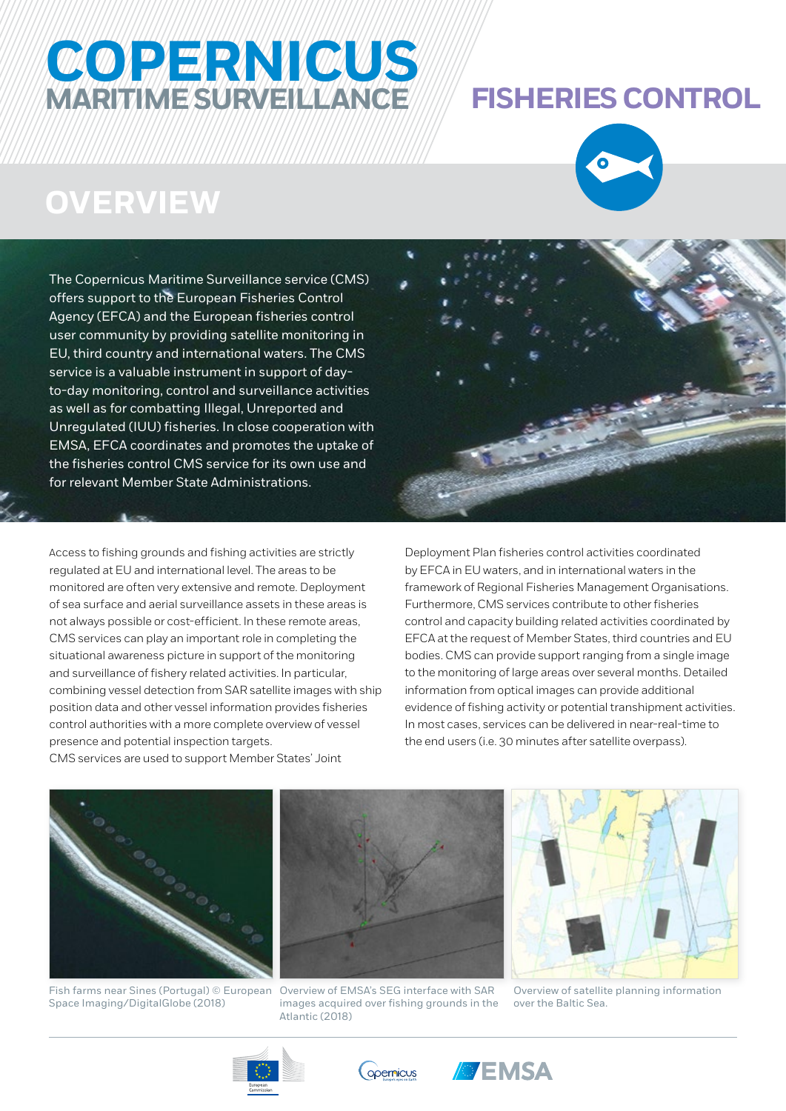# **COPERNICUS MARITIME SURVEILLANCE FISHERIES CONTROL**

# **OVERVIEW**

The Copernicus Maritime Surveillance service (CMS) offers support to the European Fisheries Control Agency (EFCA) and the European fisheries control user community by providing satellite monitoring in EU, third country and international waters. The CMS service is a valuable instrument in support of dayto-day monitoring, control and surveillance activities as well as for combatting Illegal, Unreported and Unregulated (IUU) fisheries. In close cooperation with EMSA, EFCA coordinates and promotes the uptake of the fisheries control CMS service for its own use and for relevant Member State Administrations.

Access to fishing grounds and fishing activities are strictly regulated at EU and international level. The areas to be monitored are often very extensive and remote. Deployment of sea surface and aerial surveillance assets in these areas is not always possible or cost-efficient. In these remote areas, CMS services can play an important role in completing the situational awareness picture in support of the monitoring and surveillance of fishery related activities. In particular, combining vessel detection from SAR satellite images with ship position data and other vessel information provides fisheries control authorities with a more complete overview of vessel presence and potential inspection targets.



Deployment Plan fisheries control activities coordinated by EFCA in EU waters, and in international waters in the framework of Regional Fisheries Management Organisations. Furthermore, CMS services contribute to other fisheries control and capacity building related activities coordinated by EFCA at the request of Member States, third countries and EU bodies. CMS can provide support ranging from a single image to the monitoring of large areas over several months. Detailed information from optical images can provide additional evidence of fishing activity or potential transhipment activities. In most cases, services can be delivered in near-real-time to the end users (i.e. 30 minutes after satellite overpass).

CMS services are used to support Member States' Joint



Space Imaging/DigitalGlobe (2018)



Fish farms near Sines (Portugal) © European Overview of EMSA's SEG interface with SAR images acquired over fishing grounds in the Atlantic (2018)



Overview of satellite planning information over the Baltic Sea.





**BEMSA**